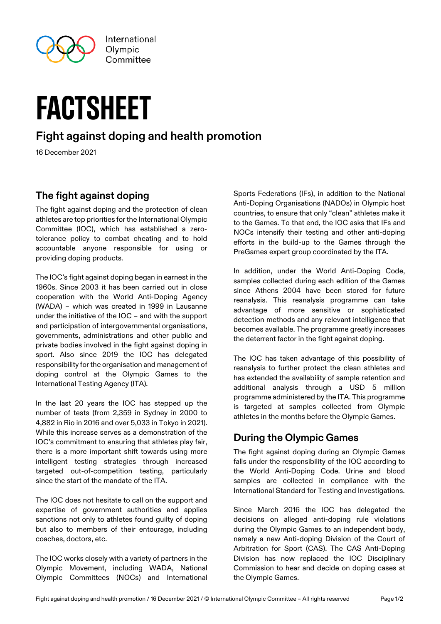

# factsheet

# **Fight against doping and health promotion**

16 December 2021

### **The fight against doping**

The fight against doping and the protection of clean athletes are top priorities for the International Olympic Committee (IOC), which has established a zerotolerance policy to combat cheating and to hold accountable anyone responsible for using or providing doping products.

The IOC's fight against doping began in earnest in the 1960s. Since 2003 it has been carried out in close cooperation with the World Anti-Doping Agency (WADA) – which was created in 1999 in Lausanne under the initiative of the IOC – and with the support and participation of intergovernmental organisations, governments, administrations and other public and private bodies involved in the fight against doping in sport. Also since 2019 the IOC has delegated responsibility for the organisation and management of doping control at the Olympic Games to the International Testing Agency (ITA).

In the last 20 years the IOC has stepped up the number of tests (from 2,359 in Sydney in 2000 to 4,882 in Rio in 2016 and over 5,033 in Tokyo in 2021). While this increase serves as a demonstration of the IOC's commitment to ensuring that athletes play fair, there is a more important shift towards using more intelligent testing strategies through increased targeted out-of-competition testing, particularly since the start of the mandate of the ITA.

The IOC does not hesitate to call on the support and expertise of government authorities and applies sanctions not only to athletes found guilty of doping but also to members of their entourage, including coaches, doctors, etc.

The IOC works closely with a variety of partners in the Olympic Movement, including WADA, National Olympic Committees (NOCs) and International

Sports Federations (IFs), in addition to the National Anti-Doping Organisations (NADOs) in Olympic host countries, to ensure that only "clean" athletes make it to the Games. To that end, the IOC asks that IFs and NOCs intensify their testing and other anti-doping efforts in the build-up to the Games through the PreGames expert group coordinated by the ITA.

In addition, under the World Anti-Doping Code, samples collected during each edition of the Games since Athens 2004 have been stored for future reanalysis. This reanalysis programme can take advantage of more sensitive or sophisticated detection methods and any relevant intelligence that becomes available. The programme greatly increases the deterrent factor in the fight against doping.

The IOC has taken advantage of this possibility of reanalysis to further protect the clean athletes and has extended the availability of sample retention and additional analysis through a USD 5 million programme administered by the ITA. This programme is targeted at samples collected from Olympic athletes in the months before the Olympic Games.

# **During the Olympic Games**

The fight against doping during an Olympic Games falls under the responsibility of the IOC according to the World Anti-Doping Code. Urine and blood samples are collected in compliance with the International Standard for Testing and Investigations.

Since March 2016 the IOC has delegated the decisions on alleged anti-doping rule violations during the Olympic Games to an independent body, namely a new Anti-doping Division of the Court of Arbitration for Sport (CAS). The CAS Anti-Doping Division has now replaced the IOC Disciplinary Commission to hear and decide on doping cases at the Olympic Games.